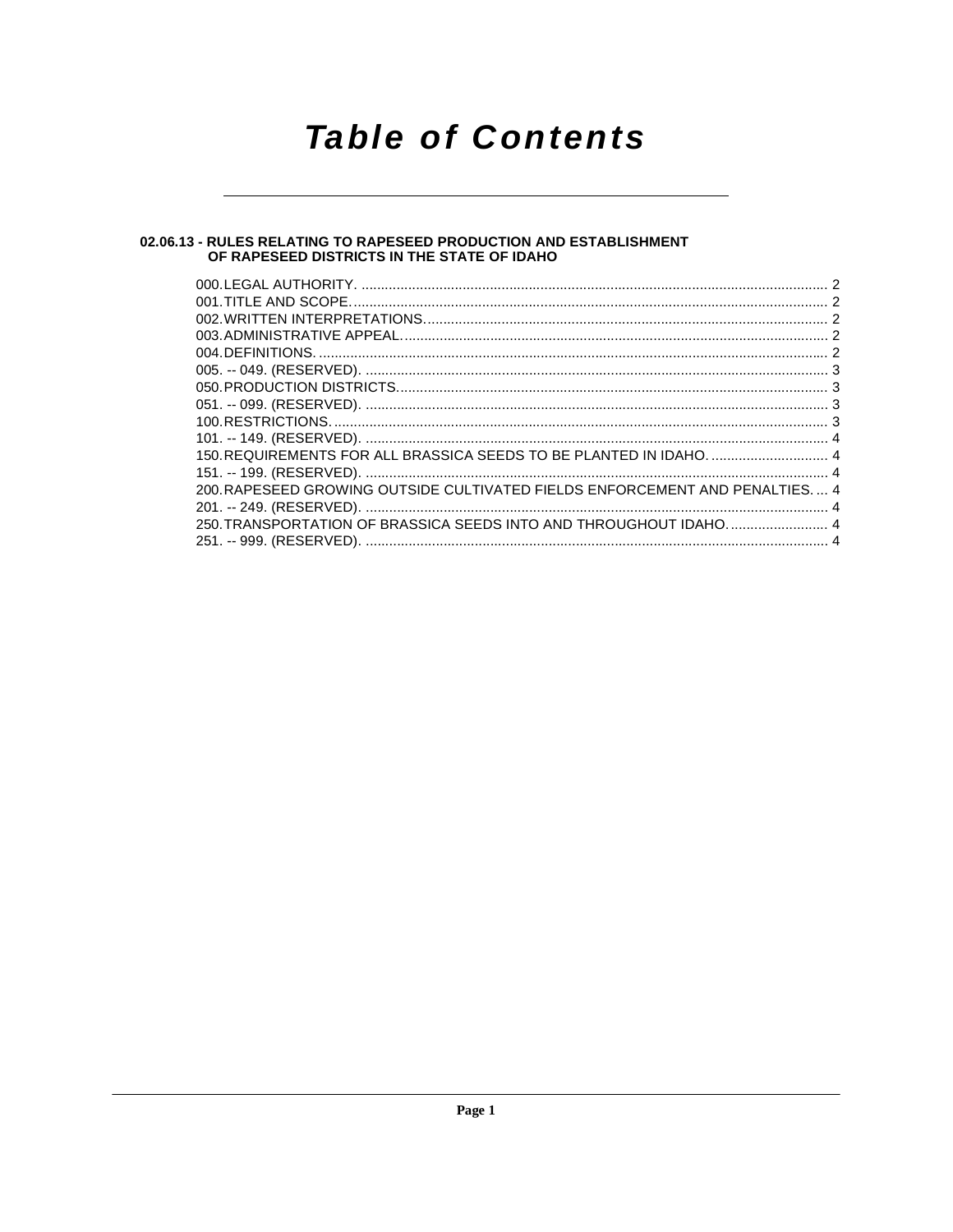## **Table of Contents**

## 02.06.13 - RULES RELATING TO RAPESEED PRODUCTION AND ESTABLISHMENT<br>OF RAPESEED DISTRICTS IN THE STATE OF IDAHO

| 150. REQUIREMENTS FOR ALL BRASSICA SEEDS TO BE PLANTED IN IDAHO.  4           |
|-------------------------------------------------------------------------------|
| 200. RAPESEED GROWING OUTSIDE CULTIVATED FIELDS ENFORCEMENT AND PENALTIES.  4 |
| 250. TRANSPORTATION OF BRASSICA SEEDS INTO AND THROUGHOUT IDAHO.  4           |
|                                                                               |
|                                                                               |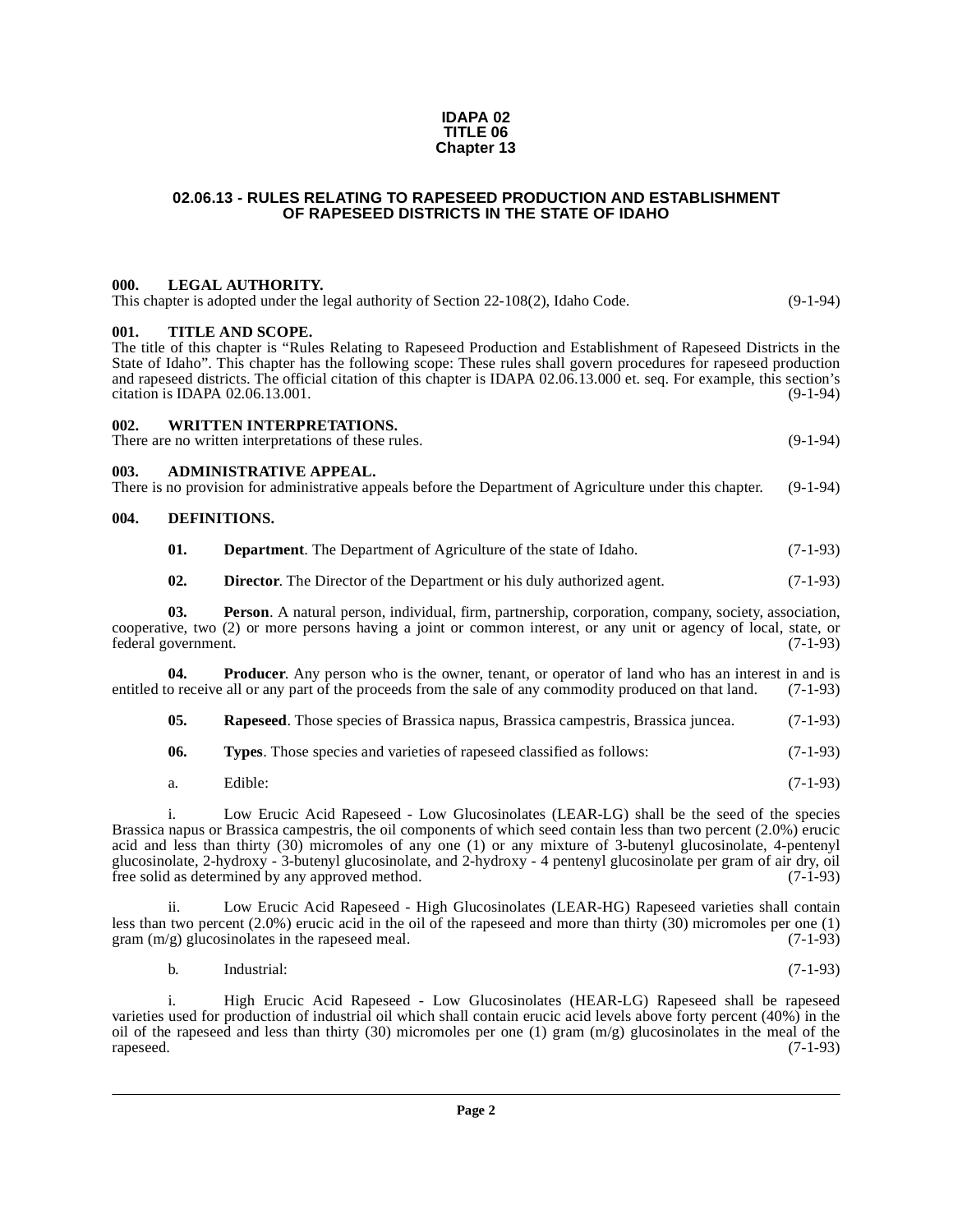#### **IDAPA 02 TITLE 06 Chapter 13**

#### <span id="page-1-0"></span>**02.06.13 - RULES RELATING TO RAPESEED PRODUCTION AND ESTABLISHMENT OF RAPESEED DISTRICTS IN THE STATE OF IDAHO**

#### <span id="page-1-1"></span>**000. LEGAL AUTHORITY.**

|  | This chapter is adopted under the legal authority of Section 22-108(2), Idaho Code. | $(9-1-94)$ |
|--|-------------------------------------------------------------------------------------|------------|
|  |                                                                                     |            |

#### <span id="page-1-2"></span>**001. TITLE AND SCOPE.**

The title of this chapter is "Rules Relating to Rapeseed Production and Establishment of Rapeseed Districts in the State of Idaho". This chapter has the following scope: These rules shall govern procedures for rapeseed production and rapeseed districts. The official citation of this chapter is IDAPA 02.06.13.000 et. seq. For example, this section's citation is IDAPA 02.06.13.001.

<span id="page-1-3"></span>

| 002. | WRITTEN INTERPRETATIONS. |  |
|------|--------------------------|--|
|      |                          |  |

There are no written interpretations of these rules. (9-1-94)

#### <span id="page-1-4"></span>**003. ADMINISTRATIVE APPEAL.**

There is no provision for administrative appeals before the Department of Agriculture under this chapter. (9-1-94)

#### <span id="page-1-5"></span>**004. DEFINITIONS.**

<span id="page-1-7"></span><span id="page-1-6"></span>

| 01. |  |  | <b>Department</b> . The Department of Agriculture of the state of Idaho. | $(7-1-93)$ |
|-----|--|--|--------------------------------------------------------------------------|------------|
|-----|--|--|--------------------------------------------------------------------------|------------|

<span id="page-1-9"></span><span id="page-1-8"></span>**02. Director**. The Director of the Department or his duly authorized agent. (7-1-93)

**03. Person**. A natural person, individual, firm, partnership, corporation, company, society, association, cooperative, two (2) or more persons having a joint or common interest, or any unit or agency of local, state, or federal government. (7-1-93)

**04. Producer**. Any person who is the owner, tenant, or operator of land who has an interest in and is o receive all or any part of the proceeds from the sale of any commodity produced on that land. (7-1-93) entitled to receive all or any part of the proceeds from the sale of any commodity produced on that land.

<span id="page-1-12"></span><span id="page-1-11"></span><span id="page-1-10"></span>**05. Rapeseed**. Those species of Brassica napus, Brassica campestris, Brassica juncea. (7-1-93)

**06. Types**. Those species and varieties of rapeseed classified as follows: (7-1-93)

a. Edible: (7-1-93)

i. Low Erucic Acid Rapeseed - Low Glucosinolates (LEAR-LG) shall be the seed of the species Brassica napus or Brassica campestris, the oil components of which seed contain less than two percent (2.0%) erucic acid and less than thirty (30) micromoles of any one (1) or any mixture of 3-butenyl glucosinolate, 4-pentenyl glucosinolate, 2-hydroxy - 3-butenyl glucosinolate, and 2-hydroxy - 4 pentenyl glucosinolate per gram of air dry, oil free solid as determined by any approved method. (7-1-93)

ii. Low Erucic Acid Rapeseed - High Glucosinolates (LEAR-HG) Rapeseed varieties shall contain less than two percent (2.0%) erucic acid in the oil of the rapeseed and more than thirty (30) micromoles per one (1) gram  $(m/g)$  glucosinolates in the rapeseed meal.  $(7-1-93)$ 

b. Industrial: (7-1-93)

i. High Erucic Acid Rapeseed - Low Glucosinolates (HEAR-LG) Rapeseed shall be rapeseed varieties used for production of industrial oil which shall contain erucic acid levels above forty percent (40%) in the oil of the rapeseed and less than thirty (30) micromoles per one (1) gram  $(m/g)$  glucosinolates in the meal of the rapeseed. (7-1-93)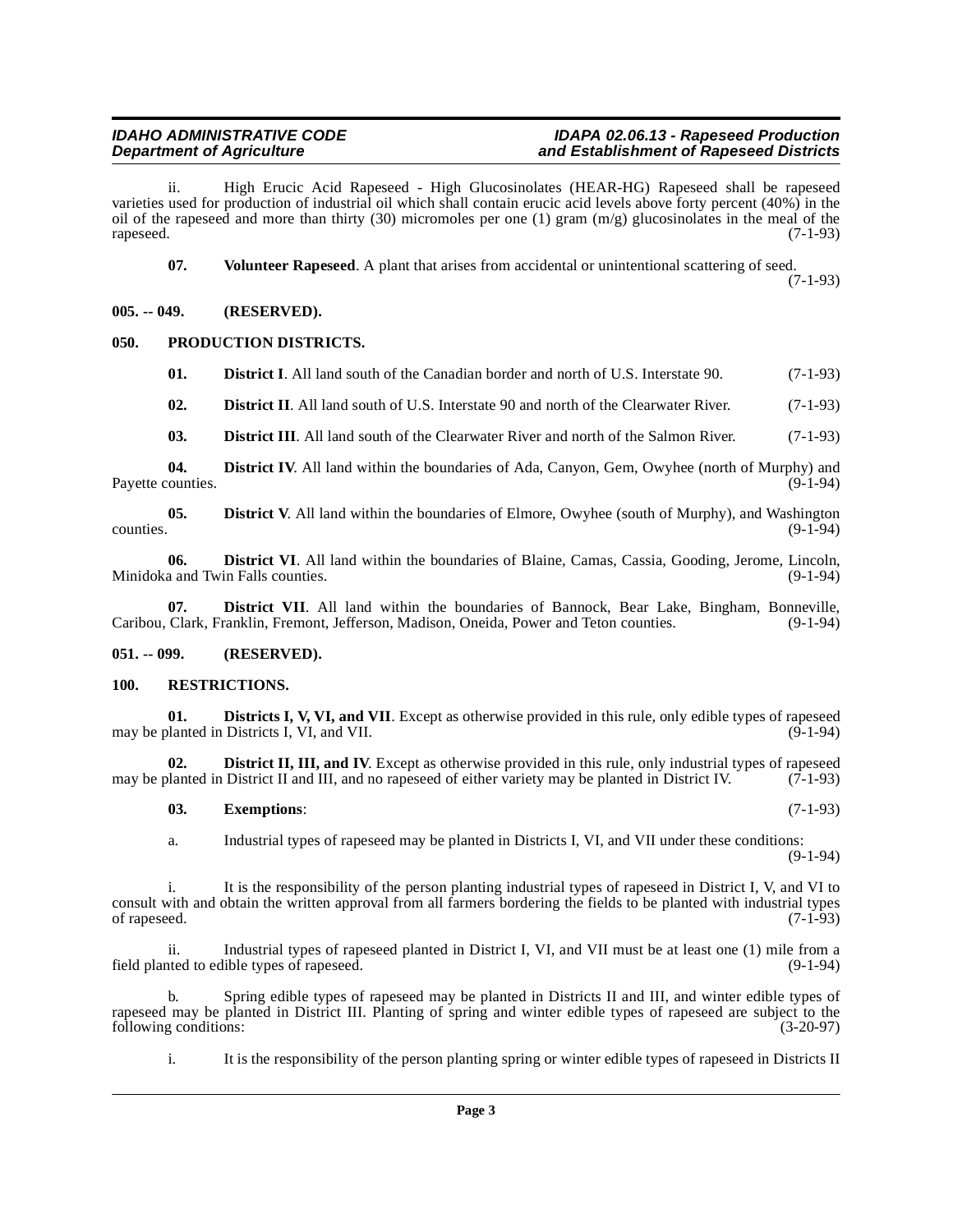ii. High Erucic Acid Rapeseed - High Glucosinolates (HEAR-HG) Rapeseed shall be rapeseed varieties used for production of industrial oil which shall contain erucic acid levels above forty percent (40%) in the oil of the rapeseed and more than thirty (30) micromoles per one (1) gram (m/g) glucosinolates in the meal of the rapeseed. (7-1-93)

<span id="page-2-16"></span>**07.** Volunteer Rapeseed. A plant that arises from accidental or unintentional scattering of seed.

(7-1-93)

<span id="page-2-0"></span>**005. -- 049. (RESERVED).**

#### <span id="page-2-1"></span>**050. PRODUCTION DISTRICTS.**

<span id="page-2-14"></span><span id="page-2-4"></span>**01. District I**. All land south of the Canadian border and north of U.S. Interstate 90. (7-1-93)

<span id="page-2-5"></span>**02. District II**. All land south of U.S. Interstate 90 and north of the Clearwater River. (7-1-93)

<span id="page-2-9"></span><span id="page-2-8"></span><span id="page-2-7"></span>**03. District III**. All land south of the Clearwater River and north of the Salmon River. (7-1-93)

**04. District IV**. All land within the boundaries of Ada, Canyon, Gem, Owyhee (north of Murphy) and counties. Payette counties.

**05. District V**. All land within the boundaries of Elmore, Owyhee (south of Murphy), and Washington counties. (9-1-94) counties. (9-1-94)

<span id="page-2-10"></span>**06. District VI**. All land within the boundaries of Blaine, Camas, Cassia, Gooding, Jerome, Lincoln, Minidoka and Twin Falls counties.

<span id="page-2-11"></span>07. **District VII**. All land within the boundaries of Bannock, Bear Lake, Bingham, Bonneville, Caribou, Clark, Franklin, Fremont, Jefferson, Madison, Oneida, Power and Teton counties. (9-1-94)

#### <span id="page-2-2"></span>**051. -- 099. (RESERVED).**

#### <span id="page-2-15"></span><span id="page-2-3"></span>**100. RESTRICTIONS.**

<span id="page-2-12"></span>**01. Districts I, V, VI, and VII**. Except as otherwise provided in this rule, only edible types of rapeseed planted in Districts I, VI, and VII. may be planted in Districts I, VI, and VII.

**02. District II, III, and IV**. Except as otherwise provided in this rule, only industrial types of rapeseed blanted in District II and III, and no rapeseed of either variety may be planted in District IV. (7-1-93) may be planted in District II and III, and no rapeseed of either variety may be planted in District IV.

#### <span id="page-2-13"></span><span id="page-2-6"></span>**03. Exemptions**: (7-1-93)

a. Industrial types of rapeseed may be planted in Districts I, VI, and VII under these conditions: (9-1-94)

i. It is the responsibility of the person planting industrial types of rapeseed in District I, V, and VI to consult with and obtain the written approval from all farmers bordering the fields to be planted with industrial types of rapeseed. (7-1-93)

ii. Industrial types of rapeseed planted in District I, VI, and VII must be at least one (1) mile from a nted to edible types of rapeseed. field planted to edible types of rapeseed.

b. Spring edible types of rapeseed may be planted in Districts II and III, and winter edible types of rapeseed may be planted in District III. Planting of spring and winter edible types of rapeseed are subject to the following conditions: (3-20-97) following conditions:

i. It is the responsibility of the person planting spring or winter edible types of rapeseed in Districts II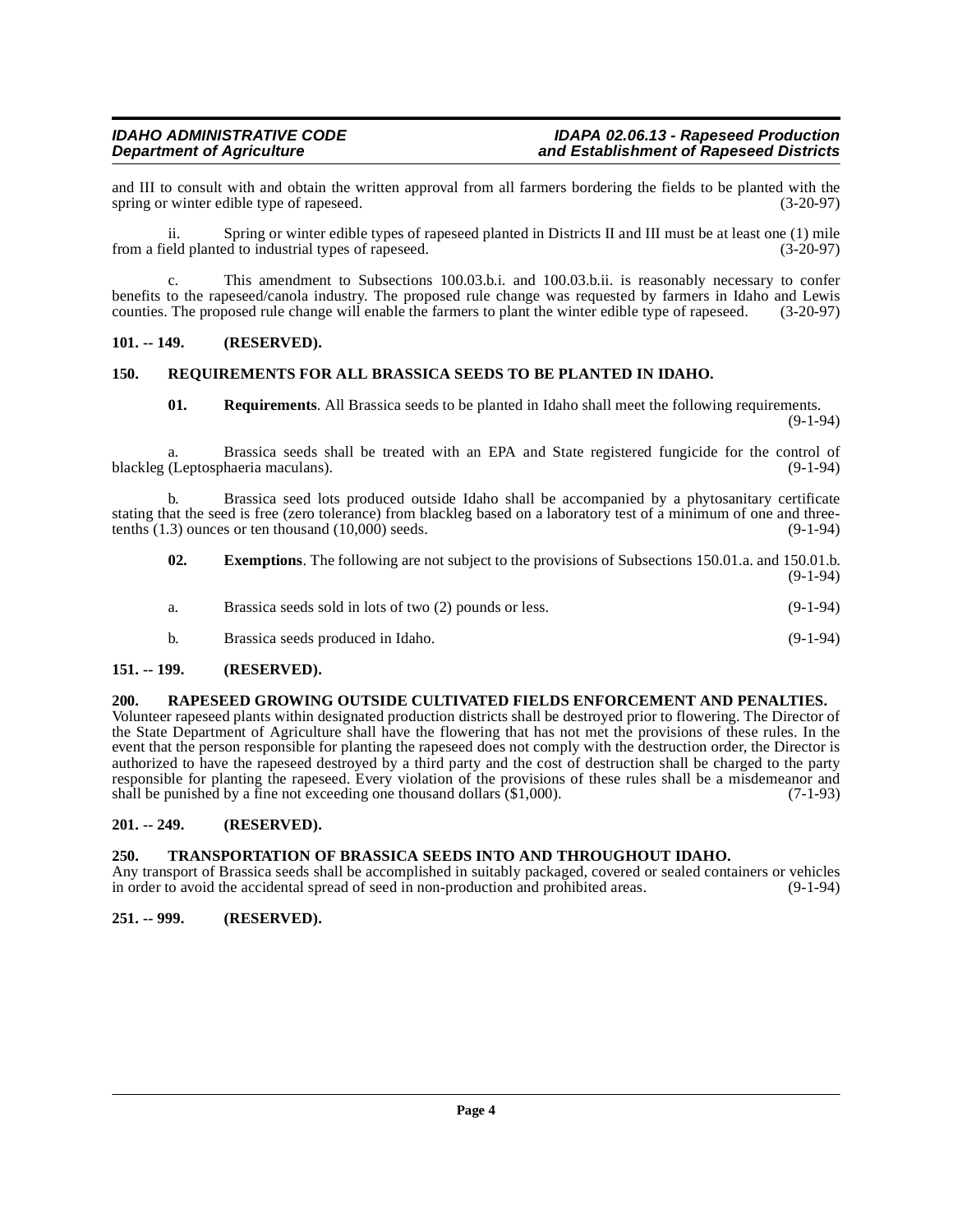and III to consult with and obtain the written approval from all farmers bordering the fields to be planted with the spring or winter edible type of rapeseed. (3-20-97) spring or winter edible type of rapeseed.

ii. Spring or winter edible types of rapeseed planted in Districts II and III must be at least one (1) mile from a field planted to industrial types of rapeseed. (3-20-97)

c. This amendment to Subsections 100.03.b.i. and 100.03.b.ii. is reasonably necessary to confer benefits to the rapeseed/canola industry. The proposed rule change was requested by farmers in Idaho and Lewis counties. The proposed rule change will enable the farmers to plant the winter edible type of rapeseed. (3-20-97)

#### <span id="page-3-0"></span>**101. -- 149. (RESERVED).**

#### <span id="page-3-1"></span>**150. REQUIREMENTS FOR ALL BRASSICA SEEDS TO BE PLANTED IN IDAHO.**

<span id="page-3-8"></span>**01. Requirements**. All Brassica seeds to be planted in Idaho shall meet the following requirements.

(9-1-94)

a. Brassica seeds shall be treated with an EPA and State registered fungicide for the control of blackleg (Leptosphaeria maculans). (9-1-94)

b. Brassica seed lots produced outside Idaho shall be accompanied by a phytosanitary certificate stating that the seed is free (zero tolerance) from blackleg based on a laboratory test of a minimum of one and three-<br>tenths  $(1.3)$  ounces or ten thousand  $(10,000)$  seeds.  $(9-1-94)$ tenths  $(1.3)$  ounces or ten thousand  $(10,000)$  seeds.

| 02. | <b>Exemptions.</b> The following are not subject to the provisions of Subsections 150.01.a. and 150.01.b. | $(9-1-94)$ |
|-----|-----------------------------------------------------------------------------------------------------------|------------|
| а.  | Brassica seeds sold in lots of two (2) pounds or less.                                                    | $(9-1-94)$ |
| b.  | Brassica seeds produced in Idaho.                                                                         | $(9-1-94)$ |

#### <span id="page-3-2"></span>**151. -- 199. (RESERVED).**

#### <span id="page-3-7"></span><span id="page-3-3"></span>**200. RAPESEED GROWING OUTSIDE CULTIVATED FIELDS ENFORCEMENT AND PENALTIES.**

Volunteer rapeseed plants within designated production districts shall be destroyed prior to flowering. The Director of the State Department of Agriculture shall have the flowering that has not met the provisions of these rules. In the event that the person responsible for planting the rapeseed does not comply with the destruction order, the Director is authorized to have the rapeseed destroyed by a third party and the cost of destruction shall be charged to the party responsible for planting the rapeseed. Every violation of the provisions of these rules shall be a misdemeanor and shall be punished by a fine not exceeding one thousand dollars (\$1,000). shall be punished by a fine not exceeding one thousand dollars  $(\$1,000)$ .

#### <span id="page-3-4"></span>**201. -- 249. (RESERVED).**

#### <span id="page-3-9"></span><span id="page-3-5"></span>**250. TRANSPORTATION OF BRASSICA SEEDS INTO AND THROUGHOUT IDAHO.**

Any transport of Brassica seeds shall be accomplished in suitably packaged, covered or sealed containers or vehicles<br>in order to avoid the accidental spread of seed in non-production and prohibited areas. (9-1-94) in order to avoid the accidental spread of seed in non-production and prohibited areas.

#### <span id="page-3-6"></span>**251. -- 999. (RESERVED).**